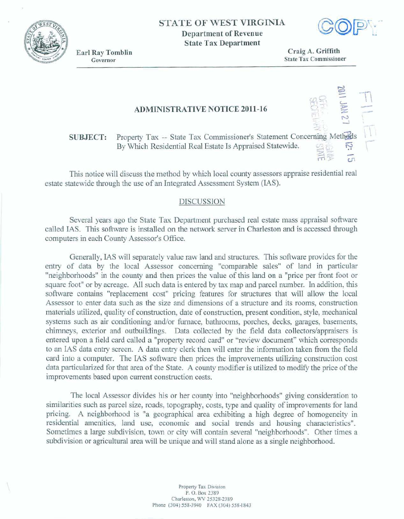## **STATE OF WEST VIRGINIA**

**Department of Revenue State Tax Department** 



Craig A. Griffith **State Tax Commissioner** 

## **ADMINISTRATIVE NOTICE 2011-16**

Property Tax -- State Tax Commissioner's Statement Concerning Methods **SUBJECT:** By Which Residential Real Estate Is Appraised Statewide.

This notice will discuss the method by which local county assessors appraise residential real estate statewide through the use of an Integrated Assessment System (IAS).

## **DISCUSSION**

Several years ago the State Tax Department purchased real estate mass appraisal software called IAS. This software is installed on the network server in Charleston and is accessed through computers in each County Assessor's Office.

Generally, IAS will separately value raw land and structures. This software provides for the entry of data by the local Assessor concerning "comparable sales" of land in particular "neighborhoods" in the county and then prices the value of this land on a "price per front foot or square foot" or by acreage. All such data is entered by tax map and parcel number. In addition, this software contains "replacement cost" pricing features for structures that will allow the local Assessor to enter data such as the size and dimensions of a structure and its rooms, construction materials utilized, quality of construction, date of construction, present condition, style, mechanical systems such as air conditioning and/or furnace, bathrooms, porches, decks, garages, basements, chimneys, exterior and outbuildings. Data collected by the field data collectors/appraisers is entered upon a field card called a "property record card" or "review document" which corresponds to an IAS data entry screen. A data entry clerk then will enter the information taken from the field card into a computer. The IAS software then prices the improvements utilizing construction cost data particularized for that area of the State. A county modifier is utilized to modify the price of the improvements based upon current construction costs.

The local Assessor divides his or her county into "neighborhoods" giving consideration to similarities such as parcel size, roads, topography, costs, type and quality of improvements for land pricing. A neighborhood is "a geographical area exhibiting a high degree of homogeneity in residential amenities, land use, economic and social trends and housing characteristics". Sometimes a large subdivision, town or city will contain several "neighborhoods". Other times a subdivision or agricultural area will be unique and will stand alone as a single neighborhood.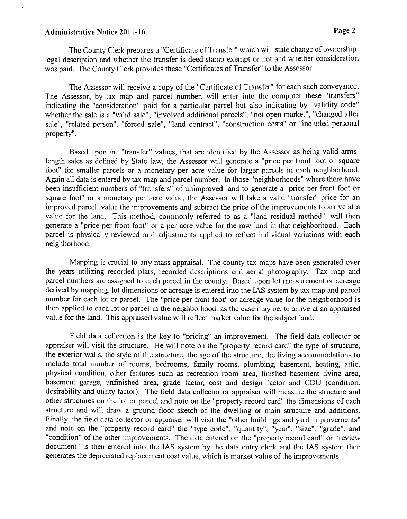## Administrative Notice 2011-16 **Page 2**

The County Clerk prepares a "Certificate of Transfer" which will state change of ownership. legal description and whether the transfer is deed stamp exempt or not and whether consideration was paid. The County Clerk provides these "Certificates of Transfer" to the Assessor.

The Assessor will receive a copy of the "Certificate of Transfer" for each such conveyance. The Assessor, by tax map and parcel number, will enter into the computer these "transfers" indicating the "consideration" paid for a particular parcel but also indicating by "validity code" whether the sale is a "valid sale", "involved additional parcels", "not open market", "changed after sale", "related person", "forced sale", "land contract", "construction costs" or "included personal property".

Based upon the "transfer" values, that are identified by the Assessor as being valid armslength sales as defined by State law, the Assessor will generate a "price per front foot or square foot" for smaller parcels or a monetary per acre value for larger parcels in each neighborhood. Again all data is entered by tax map and parcel number. In those "neighborhoods" where there have been insufficient numbers of "transfers" of unimproved land to generate a "price per front foot or square foot" or a monetary per acre value, the Assessor will take a valid "transfer" price for an improved parcel, value the improvements and subtract the price of the improvements to arrive at a value for the land. This method, commonly referred to as a "land residual method", will then generate a "price per front foot" or a per acre value for the raw land in that neighborhood. Each parcel is physically reviewed and adjustments applied to reflect individual variations with each neighborhood.

Mapping is crucial to any mass appraisal. The county tax maps have been generated over the years utilizing recorded plats, recorded descriptions and aerial photography. Tax map and parcel numbers are assigned to each parcel in the county. Based upon lot measurement or acreage derived by mapping. lot dimensions or acreage is entered into the **IAS** system by tax map and parcel number for each lot or parcel. The "price per Front foot" or acreage value for the neighborhood is then applied to each lot or parcel in the neighborhood, as the case may be, to arrive at an appraised value for the land. This appraised value will reflect market value for the subject land.

Field data collection is the key to "pricing" an improvement. The field data collector or appraiser will visit the structure. He will note on the "property record card" the type of structure. the exterior walls, the style of the structure, the age of the structure, the living accommodations to include total number of rooms, bedrooms, family rooms, plumbing, basement, heating, attic. physical condition, other features such as recreation room area, finished basement living area, basement garage, unfinished area, grade factor, cost and design factor and CDU (condition. desirability and utility factor). The field data collector or appraiser will measure the structure and other structures on the lot or parcel and note on the "property record card" the dimensions of each structure and will draw a ground floor sketch of the dwelling or main structure and additions. Finally. the field data collector or appraiser will visit the "other buildings and yard improvements" and note on the "property record card" the "type code", "quantity", "year", "size". "grade". and "condition" of the other improvements. The data entered on the "property record card" or "review document" is then entered into the IAS system by the data entry clerk and the IAS system then generates the depreciated replacement cost value, which is market value of the improvements.